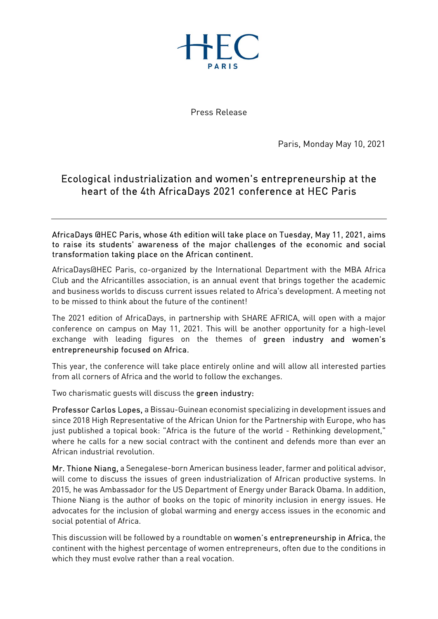

Press Release

Paris, Monday May 10, 2021

## Ecological industrialization and women's entrepreneurship at the heart of the 4th AfricaDays 2021 conference at HEC Paris

AfricaDays @HEC Paris, whose 4th edition will take place on Tuesday, May 11, 2021, aims to raise its students' awareness of the major challenges of the economic and social transformation taking place on the African continent.

AfricaDays@HEC Paris, co-organized by the International Department with the MBA Africa Club and the Africantilles association, is an annual event that brings together the academic and business worlds to discuss current issues related to Africa's development. A meeting not to be missed to think about the future of the continent!

The 2021 edition of AfricaDays, in partnership with SHARE AFRICA, will open with a major conference on campus on May 11, 2021. This will be another opportunity for a high-level exchange with leading figures on the themes of green industry and women's entrepreneurship focused on Africa.<br>This year, the conference will take place entirely online and will allow all interested parties

from all corners of Africa and the world to follow the exchanges.

Two charismatic guests will discuss the **green industry:**<br>Professor Carlos Lopes, a Bissau-Guinean economist specializing in development issues and since 2018 High Representative of the African Union for the Partnership with Europe, who has just published a topical book: "Africa is the future of the world - Rethinking development," where he calls for a new social contract with the continent and defends more than ever an African industrial revolution.

Mr. Thione Niang, a Senegalese-born American business leader, farmer and political advisor, will come to discuss the issues of green industrialization of African productive systems. In 2015, he was Ambassador for the US Department of Energy under Barack Obama. In addition, Thione Niang is the author of books on the topic of minority inclusion in energy issues. He advocates for the inclusion of global warming and energy access issues in the economic and social potential of Africa.

This discussion will be followed by a roundtable on women's entrepreneurship in Africa, the continent with the highest percentage of women entrepreneurs, often due to the conditions in which they must evolve rather than a real vocation.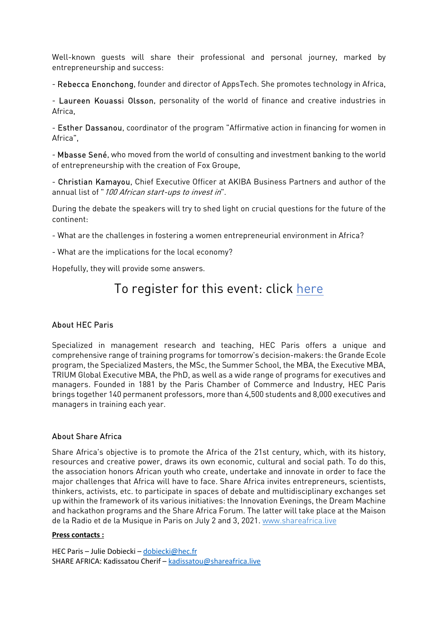Well-known guests will share their professional and personal journey, marked by

entrepreneurship and success:<br>- Rebecca Enonchong, founder and director of AppsTech. She promotes technology in Africa,<br>- Laureen Kouassi Olsson, personality of the world of finance and creative industries in

Africa,<br>- **Esther Dassanou**, coordinator of the program "Affirmative action in financing for women in

Africa",<br>- **Mbasse Sené**, who moved from the world of consulting and investment banking to the world of entrepreneurship with the creation of Fox Groupe,<br>- **Christian Kamayou**, Chief Executive Officer at AKIBA Business Partners and author of the

annual list of "100 African start-ups to invest in".

During the debate the speakers will try to shed light on crucial questions for the future of the continent:

- What are the challenges in fostering a women entrepreneurial environment in Africa?

- What are the implications for the local economy?

Hopefully, they will provide some answers.

# To register for this event: click here

### About HEC Paris

Specialized in management research and teaching, HEC Paris offers a unique and comprehensive range of training programs for tomorrow's decision-makers: the Grande Ecole program, the Specialized Masters, the MSc, the Summer School, the MBA, the Executive MBA, TRIUM Global Executive MBA, the PhD, as well as a wide range of programs for executives and managers. Founded in 1881 by the Paris Chamber of Commerce and Industry, HEC Paris brings together 140 permanent professors, more than 4,500 students and 8,000 executives and managers in training each year.

### About Share Africa

Share Africa's objective is to promote the Africa of the 21st century, which, with its history, resources and creative power, draws its own economic, cultural and social path. To do this, the association honors African youth who create, undertake and innovate in order to face the major challenges that Africa will have to face. Share Africa invites entrepreneurs, scientists, thinkers, activists, etc. to participate in spaces of debate and multidisciplinary exchanges set up within the framework of its various initiatives: the Innovation Evenings, the Dream Machine and hackathon programs and the Share Africa Forum. The latter will take place at the Maison de la Radio et de la Musique in Paris on July 2 and 3, 2021. www.shareafrica.live

#### Press contacts :

HEC Paris – Julie Dobiecki – dobiecki@hec.fr SHARE AFRICA: Kadissatou Cherif – kadissatou@shareafrica.live